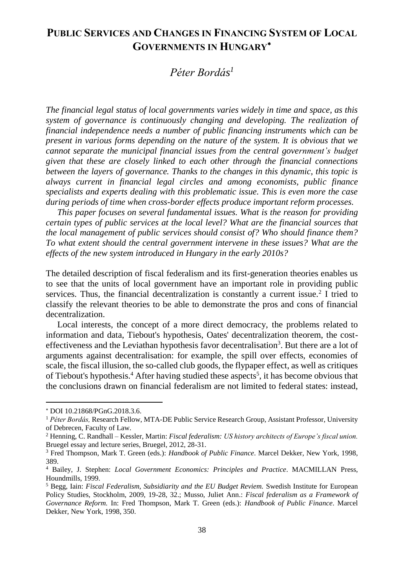# **PUBLIC SERVICES AND CHANGES IN FINANCING SYSTEM OF LOCAL GOVERNMENTS IN HUNGARY**

# *Péter Bordás 1*

*The financial legal status of local governments varies widely in time and space, as this system of governance is continuously changing and developing. The realization of financial independence needs a number of public financing instruments which can be present in various forms depending on the nature of the system. It is obvious that we cannot separate the municipal financial issues from the central government's budget given that these are closely linked to each other through the financial connections between the layers of governance. Thanks to the changes in this dynamic, this topic is always current in financial legal circles and among economists, public finance specialists and experts dealing with this problematic issue. This is even more the case during periods of time when cross-border effects produce important reform processes.* 

*This paper focuses on several fundamental issues. What is the reason for providing certain types of public services at the local level? What are the financial sources that the local management of public services should consist of? Who should finance them? To what extent should the central government intervene in these issues? What are the effects of the new system introduced in Hungary in the early 2010s?* 

The detailed description of fiscal federalism and its first-generation theories enables us to see that the units of local government have an important role in providing public services. Thus, the financial decentralization is constantly a current issue.<sup>2</sup> I tried to classify the relevant theories to be able to demonstrate the pros and cons of financial decentralization.

Local interests, the concept of a more direct democracy, the problems related to information and data, Tiebout's hypothesis, Oates' decentralization theorem, the costeffectiveness and the Leviathan hypothesis favor decentralisation<sup>3</sup>. But there are a lot of arguments against decentralisation: for example, the spill over effects, economies of scale, the fiscal illusion, the so-called club goods, the flypaper effect, as well as critiques of Tiebout's hypothesis.<sup>4</sup> After having studied these aspects<sup>5</sup>, it has become obvious that the conclusions drawn on financial federalism are not limited to federal states: instead,

 $\overline{a}$ 

DOI 10.21868/PGnG.2018.3.6.

<sup>1</sup> *Péter Bordás,* Research Fellow, MTA-DE Public Service Research Group, Assistant Professor, University of Debrecen, Faculty of Law.

<sup>2</sup> Henning, C. Randhall – Kessler, Martin: *Fiscal federalism: US history architects of Europe's fiscal union.* Bruegel essay and lecture series, Bruegel, 2012, 28-31.

<sup>3</sup> Fred Thompson, Mark T. Green (eds.): *Handbook of Public Finance*. Marcel Dekker, New York, 1998, 389.

<sup>4</sup> Bailey, J. Stephen: *Local Government Economics: Principles and Practice*. MACMILLAN Press, Houndmills, 1999.

<sup>5</sup> Begg, Iain: *Fiscal Federalism, Subsidiarity and the EU Budget Reviem.* Swedish Institute for European Policy Studies, Stockholm, 2009, 19-28, 32.; Musso, Juliet Ann.: *Fiscal federalism as a Framework of Governance Reform.* In: Fred Thompson, Mark T. Green (eds.): *Handbook of Public Finance*. Marcel Dekker, New York, 1998, 350.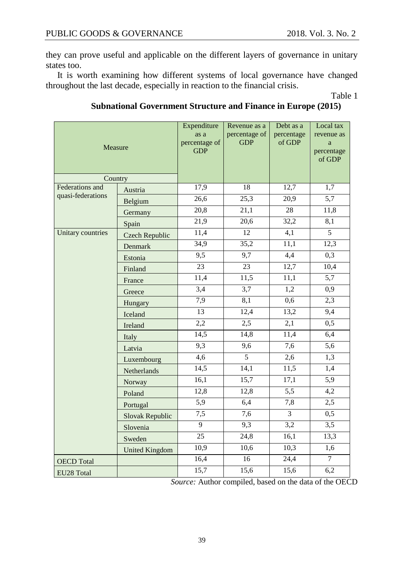they can prove useful and applicable on the different layers of governance in unitary states too.

It is worth examining how different systems of local governance have changed throughout the last decade, especially in reaction to the financial crisis.

Table 1

#### Measure **Expenditure** as a percentage of GDP Revenue as a percentage of GDP Debt as a percentage of GDP Local tax revenue as a percentage of GDP **Country** Federations and quasi-federations Austria 17,9 18 12,7 1,7 Belgium 26,6 25,3 20,9 5,7<br>Germany 20.8 21.1 28 11.8 Germany 20,8 21,1 28 11,8<br>Spain 21.9 20.6 32.2 8.1 Spain 21,9 20,6 32,2 8,1 Unitary countries Czech Republic 11,4 12 4,1 5<br>Denmark 34,9 35,2 11,1 12. Denmark 34,9 35,2 11,1 12,3 Estonia 9,5 9,7 4,4 0,3<br>
Einland 23 23 12,7 10,4 Finland 23 23 23 12,7 10,4 France 11,4 11,5 11,1 5,7 Greece 3,4 3,7 1,2 0,9 Hungary 7,9 8,1 0,6 2,3<br>
Isoland 13 12.4 13.2 9,4 Iceland 13 12,4 13,2 9,4 Ireland 2,2 2,5 2,1 0,5 Italy 14,5 14,8 11,4 6,4 Latvia 19,3 9,6 7,6 5,6 Luxembourg 4,6 5 2,6 1,3 Netherlands 14,5 14,1 11,5 1,4<br>Norway 16,1 15,7 17,1 5,9 Norway 16,1 15,7 17,1 5,9 Poland 12,8 12,8 5,5 4,2 Portugal 5,9 6,4 7,8 2,5 Slovak Republic 7,5 7,6 3 0,5 Slovenia 9 9,3 3,2 3,5 Sweden 25 24,8 16,1 13,3 United Kingdom 10,9 10,6 10,3 1,6 OECD Total 16,4 16 24,4 7 EU28 Total 15,7 15,6 15,6 6,2

### **Subnational Government Structure and Finance in Europe (2015)**

*Source:* Author compiled, based on the data of the OECD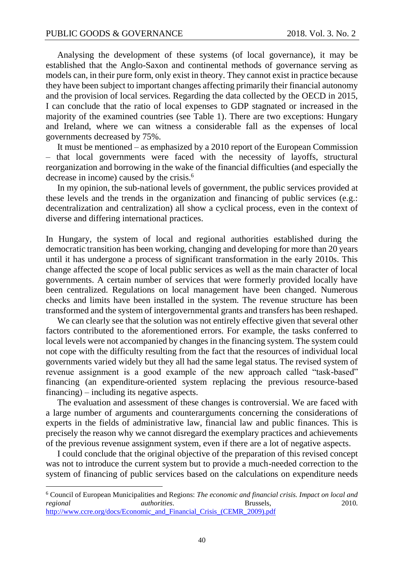$\overline{a}$ 

Analysing the development of these systems (of local governance), it may be established that the Anglo-Saxon and continental methods of governance serving as models can, in their pure form, only exist in theory. They cannot exist in practice because they have been subject to important changes affecting primarily their financial autonomy and the provision of local services. Regarding the data collected by the OECD in 2015, I can conclude that the ratio of local expenses to GDP stagnated or increased in the majority of the examined countries (see Table 1). There are two exceptions: Hungary and Ireland, where we can witness a considerable fall as the expenses of local governments decreased by 75%.

It must be mentioned – as emphasized by a 2010 report of the European Commission – that local governments were faced with the necessity of layoffs, structural reorganization and borrowing in the wake of the financial difficulties (and especially the decrease in income) caused by the crisis.<sup>6</sup>

In my opinion, the sub-national levels of government, the public services provided at these levels and the trends in the organization and financing of public services (e.g.: decentralization and centralization) all show a cyclical process, even in the context of diverse and differing international practices.

In Hungary, the system of local and regional authorities established during the democratic transition has been working, changing and developing for more than 20 years until it has undergone a process of significant transformation in the early 2010s. This change affected the scope of local public services as well as the main character of local governments. A certain number of services that were formerly provided locally have been centralized. Regulations on local management have been changed. Numerous checks and limits have been installed in the system. The revenue structure has been transformed and the system of intergovernmental grants and transfers has been reshaped.

We can clearly see that the solution was not entirely effective given that several other factors contributed to the aforementioned errors. For example, the tasks conferred to local levels were not accompanied by changes in the financing system. The system could not cope with the difficulty resulting from the fact that the resources of individual local governments varied widely but they all had the same legal status. The revised system of revenue assignment is a good example of the new approach called "task-based" financing (an expenditure-oriented system replacing the previous resource-based financing) – including its negative aspects.

The evaluation and assessment of these changes is controversial. We are faced with a large number of arguments and counterarguments concerning the considerations of experts in the fields of administrative law, financial law and public finances. This is precisely the reason why we cannot disregard the exemplary practices and achievements of the previous revenue assignment system, even if there are a lot of negative aspects.

I could conclude that the original objective of the preparation of this revised concept was not to introduce the current system but to provide a much-needed correction to the system of financing of public services based on the calculations on expenditure needs

<sup>6</sup> Council of European Municipalities and Regions: *The economic and financial crisis. Impact on local and regional authorities*. Brussels, 2010. [http://www.ccre.org/docs/Economic\\_and\\_Financial\\_Crisis\\_\(CEMR\\_2009\).pdf](http://www.ccre.org/docs/Economic_and_Financial_Crisis_(CEMR_2009).pdf)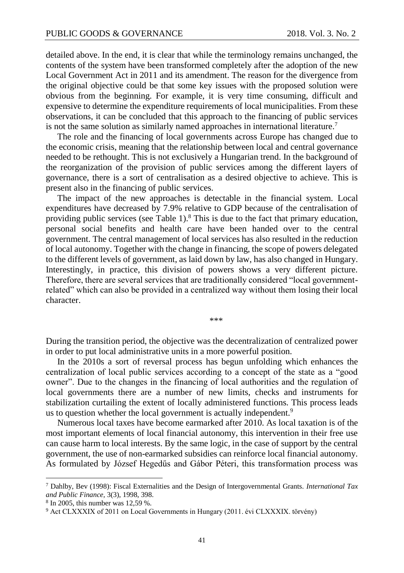detailed above. In the end, it is clear that while the terminology remains unchanged, the contents of the system have been transformed completely after the adoption of the new Local Government Act in 2011 and its amendment. The reason for the divergence from the original objective could be that some key issues with the proposed solution were obvious from the beginning. For example, it is very time consuming, difficult and expensive to determine the expenditure requirements of local municipalities. From these observations, it can be concluded that this approach to the financing of public services is not the same solution as similarly named approaches in international literature.<sup>7</sup>

The role and the financing of local governments across Europe has changed due to the economic crisis, meaning that the relationship between local and central governance needed to be rethought. This is not exclusively a Hungarian trend. In the background of the reorganization of the provision of public services among the different layers of governance, there is a sort of centralisation as a desired objective to achieve. This is present also in the financing of public services.

The impact of the new approaches is detectable in the financial system. Local expenditures have decreased by 7.9% relative to GDP because of the centralisation of providing public services (see Table 1). $8$  This is due to the fact that primary education, personal social benefits and health care have been handed over to the central government. The central management of local services has also resulted in the reduction of local autonomy. Together with the change in financing, the scope of powers delegated to the different levels of government, as laid down by law, has also changed in Hungary. Interestingly, in practice, this division of powers shows a very different picture. Therefore, there are several services that are traditionally considered "local governmentrelated" which can also be provided in a centralized way without them losing their local character.

\*\*\*

During the transition period, the objective was the decentralization of centralized power in order to put local administrative units in a more powerful position.

In the 2010s a sort of reversal process has begun unfolding which enhances the centralization of local public services according to a concept of the state as a "good owner". Due to the changes in the financing of local authorities and the regulation of local governments there are a number of new limits, checks and instruments for stabilization curtailing the extent of locally administered functions. This process leads us to question whether the local government is actually independent.<sup>9</sup>

Numerous local taxes have become earmarked after 2010. As local taxation is of the most important elements of local financial autonomy, this intervention in their free use can cause harm to local interests. By the same logic, in the case of support by the central government, the use of non-earmarked subsidies can reinforce local financial autonomy. As formulated by József Hegedűs and Gábor Péteri, this transformation process was

l

<sup>7</sup> Dahlby, Bev (1998): Fiscal Externalities and the Design of Intergovernmental Grants. *International Tax and Public Finance,* 3(3), 1998, 398.

<sup>8</sup> In 2005, this number was 12,59 %.

<sup>9</sup> Act CLXXXIX of 2011 on Local Governments in Hungary (2011. évi CLXXXIX. törvény)